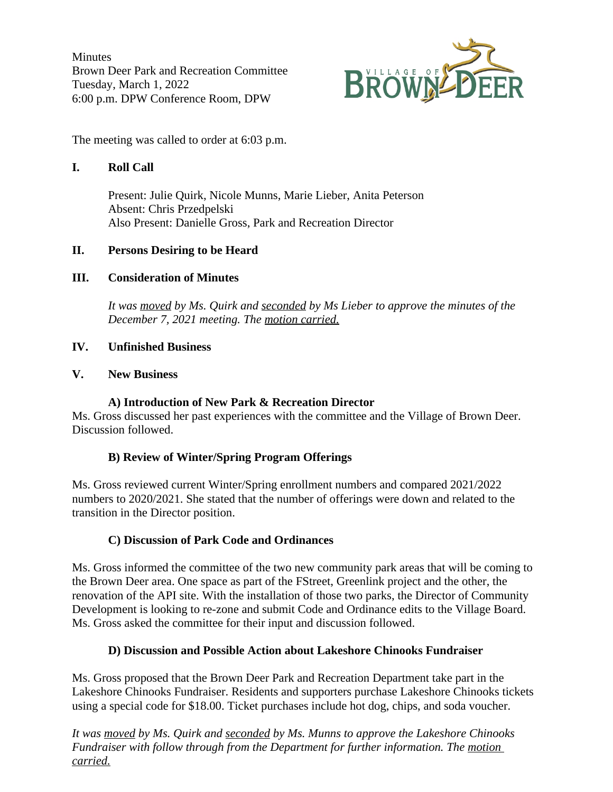**Minutes** Brown Deer Park and Recreation Committee Tuesday, March 1, 2022 6:00 p.m. DPW Conference Room, DPW



The meeting was called to order at 6:03 p.m.

## **I. Roll Call**

Present: Julie Quirk, Nicole Munns, Marie Lieber, Anita Peterson Absent: Chris Przedpelski Also Present: Danielle Gross, Park and Recreation Director

# **II. Persons Desiring to be Heard**

### **III. Consideration of Minutes**

*It was moved by Ms. Quirk and seconded by Ms Lieber to approve the minutes of the December 7, 2021 meeting. The motion carried.*

### **IV. Unfinished Business**

#### **V. New Business**

### **A) Introduction of New Park & Recreation Director**

Ms. Gross discussed her past experiences with the committee and the Village of Brown Deer. Discussion followed.

#### **B) Review of Winter/Spring Program Offerings**

Ms. Gross reviewed current Winter/Spring enrollment numbers and compared 2021/2022 numbers to 2020/2021. She stated that the number of offerings were down and related to the transition in the Director position.

#### **C) Discussion of Park Code and Ordinances**

Ms. Gross informed the committee of the two new community park areas that will be coming to the Brown Deer area. One space as part of the FStreet, Greenlink project and the other, the renovation of the API site. With the installation of those two parks, the Director of Community Development is looking to re-zone and submit Code and Ordinance edits to the Village Board. Ms. Gross asked the committee for their input and discussion followed.

#### **D) Discussion and Possible Action about Lakeshore Chinooks Fundraiser**

Ms. Gross proposed that the Brown Deer Park and Recreation Department take part in the Lakeshore Chinooks Fundraiser. Residents and supporters purchase Lakeshore Chinooks tickets using a special code for \$18.00. Ticket purchases include hot dog, chips, and soda voucher.

*It was moved by Ms. Quirk and seconded by Ms. Munns to approve the Lakeshore Chinooks Fundraiser with follow through from the Department for further information. The motion carried.*